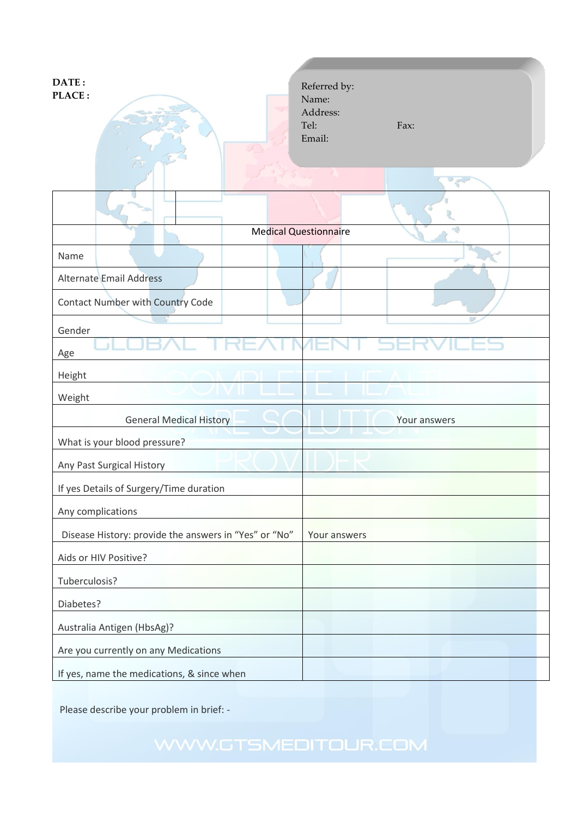| DATE:<br>PLACE:                                                | Referred by:<br>Name:<br>Address:<br>Tel:<br>Fax:<br>Email:<br>$\overline{v}$ |
|----------------------------------------------------------------|-------------------------------------------------------------------------------|
|                                                                | <b>Medical Questionnaire</b>                                                  |
| Name                                                           |                                                                               |
| <b>Alternate Email Address</b>                                 |                                                                               |
| <b>Contact Number with Country Code</b>                        |                                                                               |
| Gender<br>Age                                                  |                                                                               |
| Height                                                         |                                                                               |
| Weight                                                         |                                                                               |
| <b>General Medical History</b><br>What is your blood pressure? | Your answers                                                                  |
| Any Past Surgical History                                      |                                                                               |
| If yes Details of Surgery/Time duration                        |                                                                               |
| Any complications                                              |                                                                               |
| Disease History: provide the answers in "Yes" or "No"          | Your answers                                                                  |
| Aids or HIV Positive?                                          |                                                                               |
| Tuberculosis?                                                  |                                                                               |
| Diabetes?                                                      |                                                                               |
| Australia Antigen (HbsAg)?                                     |                                                                               |
| Are you currently on any Medications                           |                                                                               |
| If yes, name the medications, & since when                     |                                                                               |

Please describe your problem in brief: -